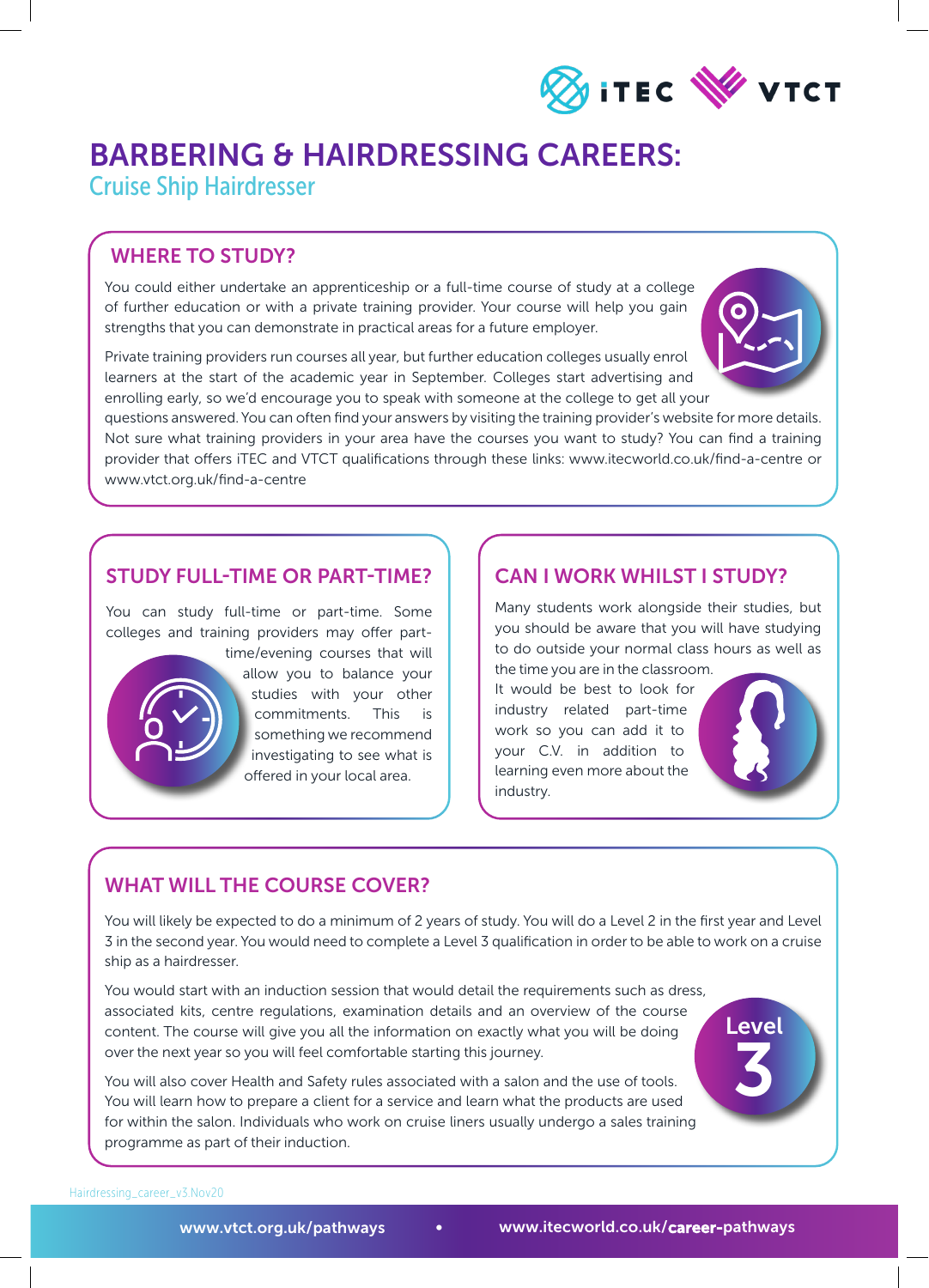

# BARBERING & HAIRDRESSING CAREERS:

Cruise Ship Hairdresser

### WHERE TO STUDY?

You could either undertake an apprenticeship or a full-time course of study at a college of further education or with a private training provider. Your course will help you gain strengths that you can demonstrate in practical areas for a future employer.

Private training providers run courses all year, but further education colleges usually enrol learners at the start of the academic year in September. Colleges start advertising and enrolling early, so we'd encourage you to speak with someone at the college to get all your

questions answered. You can often find your answers by visiting the training provider's website for more details. Not sure what training providers in your area have the courses you want to study? You can find a training

provider that offers iTEC and VTCT qualifications through these links: www.itecworld.co.uk/find-a-centre or www.vtct.org.uk/find-a-centre

### STUDY FULL-TIME OR PART-TIME?

You can study full-time or part-time. Some colleges and training providers may offer part-



time/evening courses that will allow you to balance your studies with your other commitments. This is something we recommend investigating to see what is offered in your local area.

## CAN I WORK WHILST I STUDY?

Many students work alongside their studies, but you should be aware that you will have studying to do outside your normal class hours as well as

the time you are in the classroom. It would be best to look for industry related part-time work so you can add it to your C.V. in addition to learning even more about the industry.



Level

3

# WHAT WILL THE COURSE COVER?

You will likely be expected to do a minimum of 2 years of study. You will do a Level 2 in the first year and Level 3 in the second year. You would need to complete a Level 3 qualification in order to be able to work on a cruise ship as a hairdresser.

You would start with an induction session that would detail the requirements such as dress, associated kits, centre regulations, examination details and an overview of the course content. The course will give you all the information on exactly what you will be doing over the next year so you will feel comfortable starting this journey.

You will also cover Health and Safety rules associated with a salon and the use of tools. You will learn how to prepare a client for a service and learn what the products are used for within the salon. Individuals who work on cruise liners usually undergo a sales training programme as part of their induction.

Hairdressing\_career\_v3.Nov20